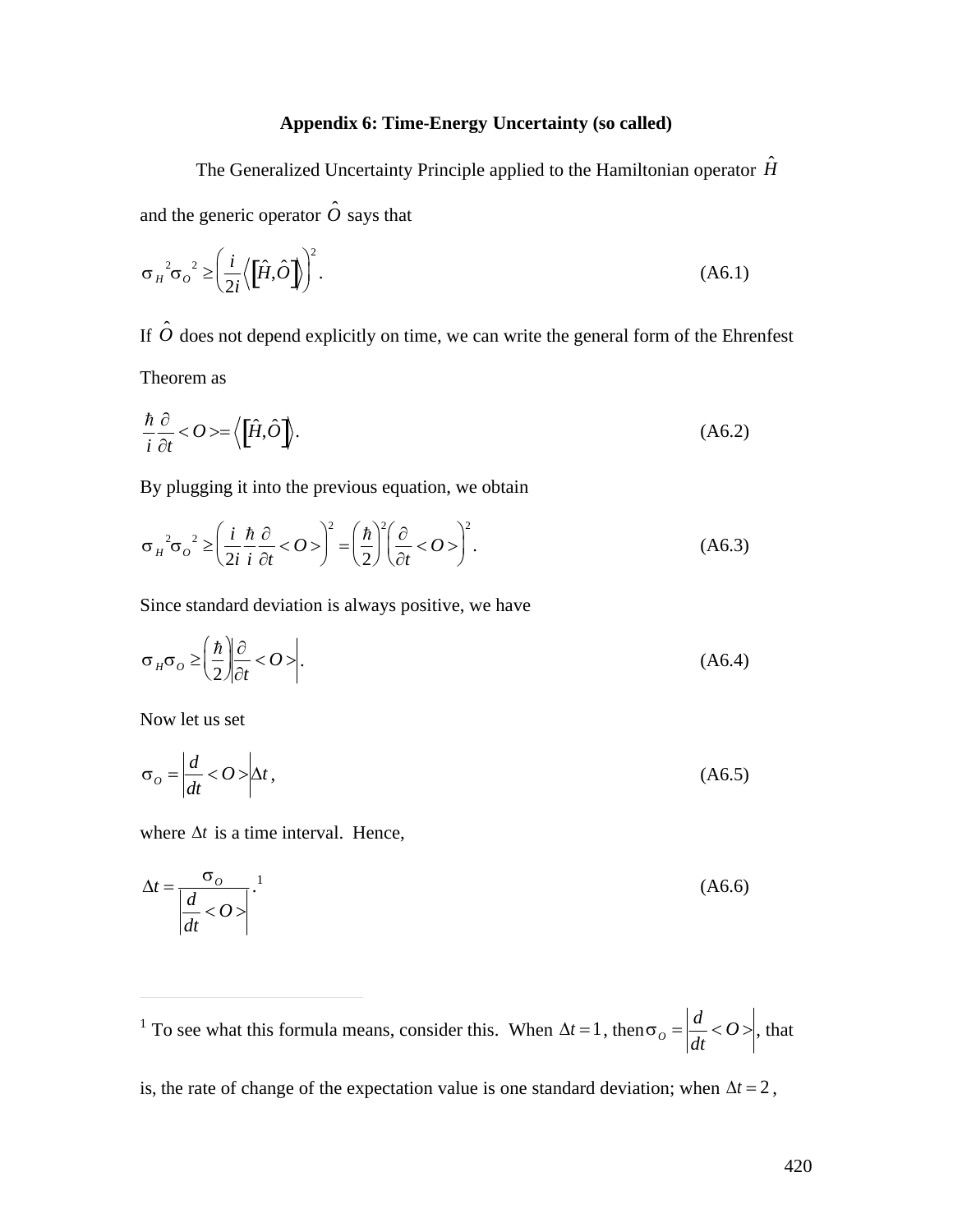## **Appendix 6: Time-Energy Uncertainty (so called)**

The Generalized Uncertainty Principle applied to the Hamiltonian operator  $\hat{H}$ and the generic operator  $\hat{o}$  says that

$$
\sigma_{H}^{2} \sigma_{O}^{2} \ge \left(\frac{i}{2i} \left\langle \left[\hat{H}, \hat{O}\right]\right\rangle\right)^{2}.\tag{A6.1}
$$

If  $\hat{O}$  does not depend explicitly on time, we can write the general form of the Ehrenfest Theorem as

$$
\frac{\hbar}{i}\frac{\partial}{\partial t} < O > = \left\langle \left[ \hat{H}, \hat{O} \right] \right\rangle. \tag{A6.2}
$$

By plugging it into the previous equation, we obtain

$$
\sigma_H^2 \sigma_o^2 \ge \left(\frac{i}{2i} \frac{\hbar}{i} \frac{\partial}{\partial t} < 0 > \right)^2 = \left(\frac{\hbar}{2}\right)^2 \left(\frac{\partial}{\partial t} < 0 > \right)^2.
$$
 (A6.3)

Since standard deviation is always positive, we have

$$
\sigma_H \sigma_O \ge \left(\frac{\hbar}{2}\right) \left| \frac{\partial}{\partial t} < O \right| \tag{A6.4}
$$

Now let us set

$$
\sigma_o = \left| \frac{d}{dt} < O \right| \Delta t \tag{A6.5}
$$

where  $\Delta t$  is a time interval. Hence,

$$
\Delta t = \frac{\sigma_o}{\left| \frac{d}{dt} < O \right|} \tag{A6.6}
$$

 $\overline{a}$ <sup>1</sup> To see what this formula means, consider this. When  $\Delta t = 1$ , then  $\sigma_o = \left| \frac{d}{dt} \langle O \rangle \right|$ , t *dt*  $\langle O \rangle$ , that

is, the rate of change of the expectation value is one standard deviation; when  $\Delta t = 2$ ,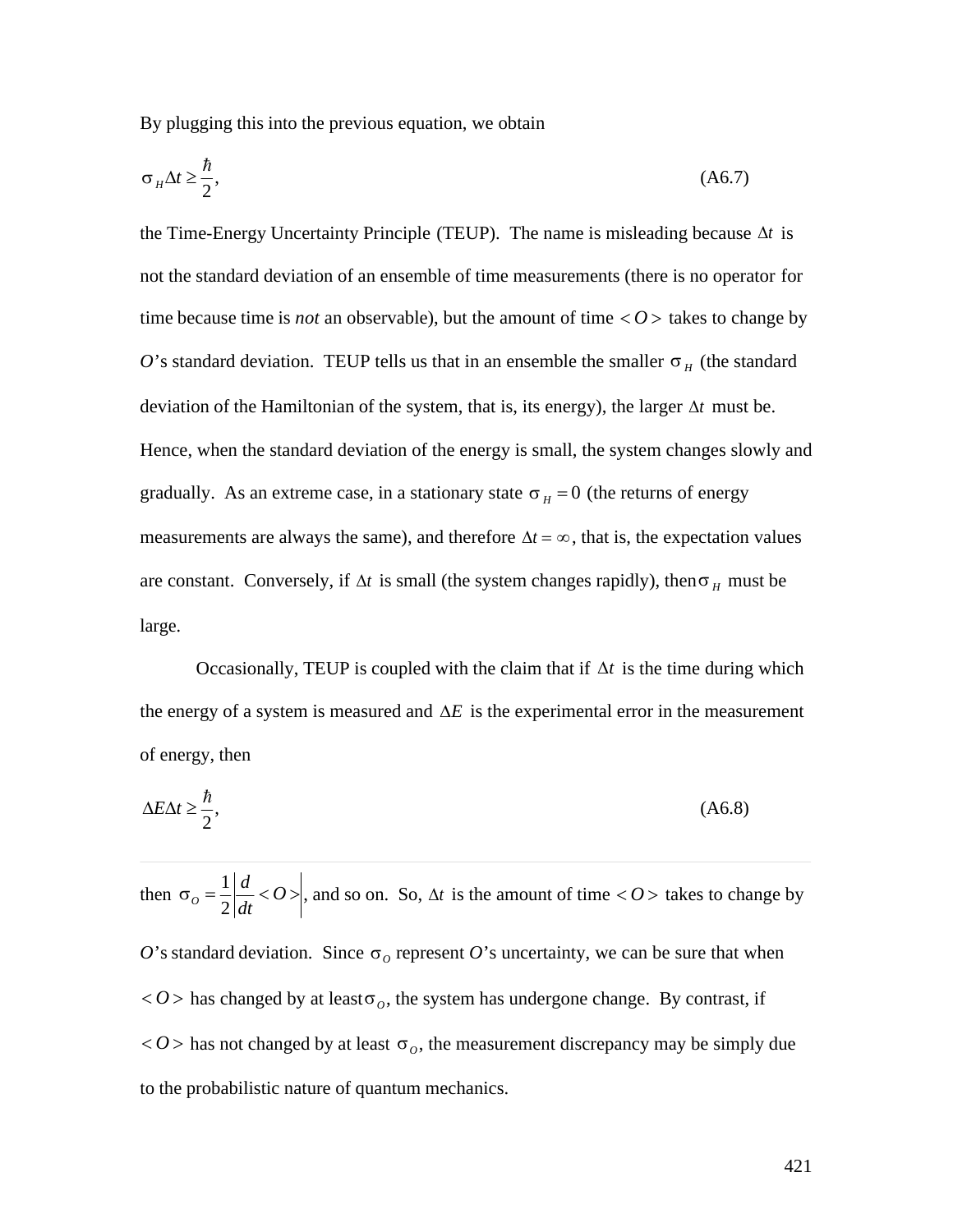By plugging this into the previous equation, we obtain

$$
\sigma_H \Delta t \ge \frac{\hbar}{2},\tag{A6.7}
$$

the Time-Energy Uncertainty Principle (TEUP). The name is misleading because  $\Delta t$  is not the standard deviation of an ensemble of time measurements (there is no operator for time because time is *not* an observable), but the amount of time  $\langle O \rangle$  takes to change by O's standard deviation. TEUP tells us that in an ensemble the smaller  $\sigma$ <sub>H</sub> (the standard deviation of the Hamiltonian of the system, that is, its energy), the larger  $\Delta t$  must be. Hence, when the standard deviation of the energy is small, the system changes slowly and gradually. As an extreme case, in a stationary state  $\sigma_H = 0$  (the returns of energy measurements are always the same), and therefore  $\Delta t = \infty$ , that is, the expectation values are constant. Conversely, if  $\Delta t$  is small (the system changes rapidly), then  $\sigma$ <sub>H</sub> must be large.

Occasionally, TEUP is coupled with the claim that if  $\Delta t$  is the time during which the energy of a system is measured and  $\Delta E$  is the experimental error in the measurement of energy, then

$$
\Delta E \Delta t \ge \frac{\hbar}{2},\tag{A6.8}
$$

 $\overline{a}$ then  $\sigma_o = \frac{1}{2} \left| \frac{d}{dt} < 0 \right|$  $<$  *O* > has changed by at least  $\sigma$ <sub>*O*</sub>, the system has undergone change. By contrast, if  $2\left|dt\right|$  $d$   $\Omega$ *dt*  $\langle O \rangle$ , and so on. So,  $\Delta t$  is the amount of time  $\langle O \rangle$  takes to change by O's standard deviation. Since  $\sigma_0$  represent O's uncertainty, we can be sure that when  $<$  *O* > has not changed by at least  $\sigma$ <sub>*o*</sub>, the measurement discrepancy may be simply due to the probabilistic nature of quantum mechanics.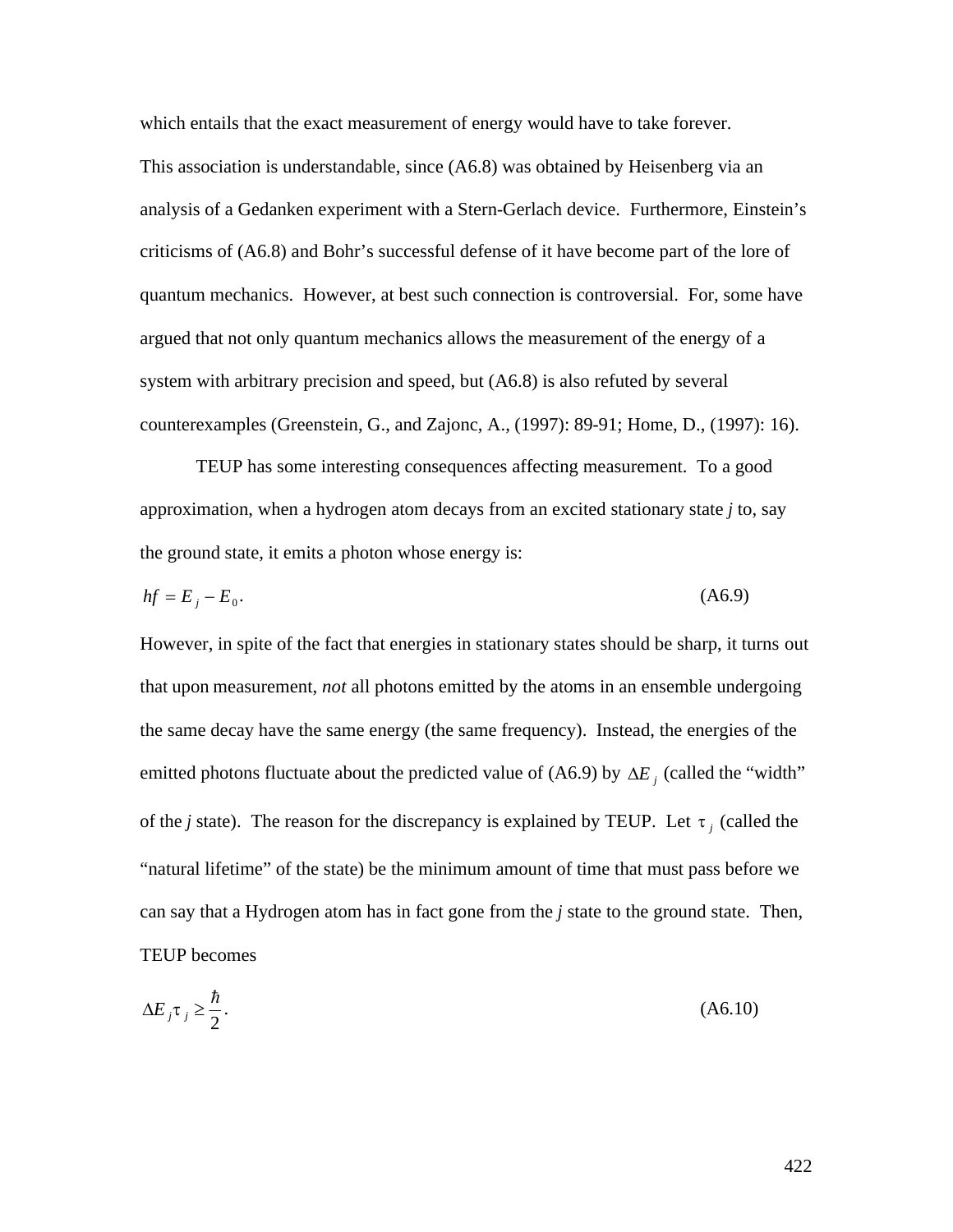which entails that the exact measurement of energy would have to take forever. This association is understandable, since (A6.8) was obtained by Heisenberg via an analysis of a Gedanken experiment with a Stern-Gerlach device. Furthermore, Einstein's criticisms of (A6.8) and Bohr's successful defense of it have become part of the lore of quantum mechanics. However, at best such connection is controversial. For, some have argued that not only quantum mechanics allows the measurement of the energy of a system with arbitrary precision and speed, but (A6.8) is also refuted by several counterexamples (Greenstein, G., and Zajonc, A., (1997): 89-91; Home, D., (1997): 16).

TEUP has some interesting consequences affecting measurement. To a good approximation, when a hydrogen atom decays from an excited stationary state *j* to, say the ground state, it emits a photon whose energy is:

$$
hf = E_j - E_0. \tag{A6.9}
$$

However, in spite of the fact that energies in stationary states should be sharp, it turns out that upon measurement, *not* all photons emitted by the atoms in an ensemble undergoing the same decay have the same energy (the same frequency). Instead, the energies of the emitted photons fluctuate about the predicted value of (A6.9) by  $\Delta E_j$  (called the "width"  $\mathbf{r}$   $\mathbf{r}$ of the *j* state). The reason for the discrepancy is explained by TEUP. Let  $\tau_j$  (called the can say that a Hydrogen atom has in fact gone from the *j* state to the ground state. Then, "natural lifetime" of the state) be the minimum amount of time that must pass before we TEUP becomes

$$
\Delta E_j \tau_j \ge \frac{\hbar}{2}.\tag{A6.10}
$$